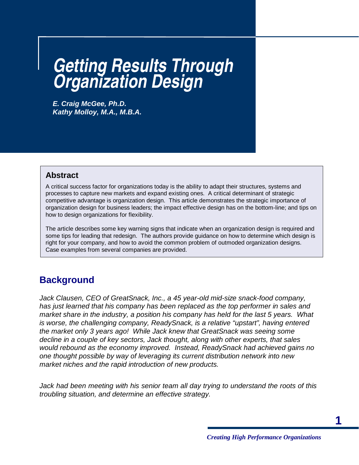# **Getting Results Through Organization Design**

**E. Craig McGee, Ph.D. Kathy Molloy, M.A., M.B.A.** 

#### **Abstract**

A critical success factor for organizations today is the ability to adapt their structures, systems and processes to capture new markets and expand existing ones. A critical determinant of strategic competitive advantage is organization design. This article demonstrates the strategic importance of organization design for business leaders; the impact effective design has on the bottom-line; and tips on how to design organizations for flexibility.

The article describes some key warning signs that indicate when an organization design is required and some tips for leading that redesign. The authors provide guidance on how to determine which design is right for your company, and how to avoid the common problem of outmoded organization designs. Case examples from several companies are provided.

### **Background**

Jack Clausen, CEO of GreatSnack, Inc., a 45 year-old mid-size snack-food company, has just learned that his company has been replaced as the top performer in sales and market share in the industry, a position his company has held for the last 5 years. What is worse, the challenging company, ReadySnack, is a relative "upstart", having entered the market only 3 years ago! While Jack knew that GreatSnack was seeing some decline in a couple of key sectors, Jack thought, along with other experts, that sales would rebound as the economy improved. Instead, ReadySnack had achieved gains no one thought possible by way of leveraging its current distribution network into new market niches and the rapid introduction of new products.

Jack had been meeting with his senior team all day trying to understand the roots of this troubling situation, and determine an effective strategy.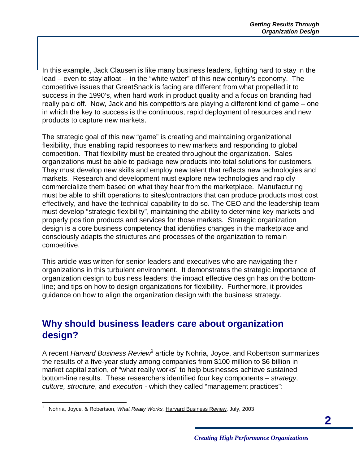In this example, Jack Clausen is like many business leaders, fighting hard to stay in the lead – even to stay afloat -- in the "white water" of this new century's economy. The competitive issues that GreatSnack is facing are different from what propelled it to success in the 1990's, when hard work in product quality and a focus on branding had really paid off. Now, Jack and his competitors are playing a different kind of game – one in which the key to success is the continuous, rapid deployment of resources and new products to capture new markets.

The strategic goal of this new "game" is creating and maintaining organizational flexibility, thus enabling rapid responses to new markets and responding to global competition. That flexibility must be created throughout the organization. Sales organizations must be able to package new products into total solutions for customers. They must develop new skills and employ new talent that reflects new technologies and markets. Research and development must explore new technologies and rapidly commercialize them based on what they hear from the marketplace. Manufacturing must be able to shift operations to sites/contractors that can produce products most cost effectively, and have the technical capability to do so. The CEO and the leadership team must develop "strategic flexibility", maintaining the ability to determine key markets and properly position products and services for those markets. Strategic organization design is a core business competency that identifies changes in the marketplace and consciously adapts the structures and processes of the organization to remain competitive.

This article was written for senior leaders and executives who are navigating their organizations in this turbulent environment. It demonstrates the strategic importance of organization design to business leaders; the impact effective design has on the bottomline; and tips on how to design organizations for flexibility. Furthermore, it provides guidance on how to align the organization design with the business strategy.

### **Why should business leaders care about organization design?**

A recent Harvard Business Review<sup>1</sup> article by Nohria, Joyce, and Robertson summarizes the results of a five-year study among companies from \$100 million to \$6 billion in market capitalization, of "what really works" to help businesses achieve sustained bottom-line results. These researchers identified four key components – strategy, culture, structure, and execution - which they called "management practices":

<sup>&</sup>lt;u>.</u> 1 Nohria, Joyce, & Robertson, What Really Works, Harvard Business Review, July, 2003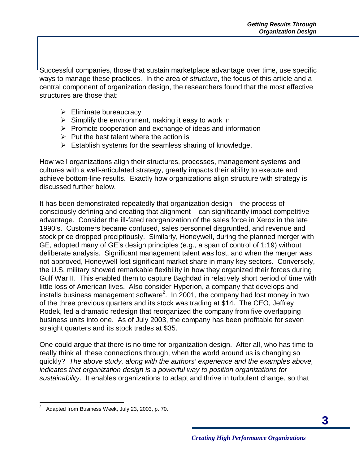Successful companies, those that sustain marketplace advantage over time, use specific ways to manage these practices. In the area of structure, the focus of this article and a central component of organization design, the researchers found that the most effective structures are those that:

- $\triangleright$  Eliminate bureaucracy
- $\triangleright$  Simplify the environment, making it easy to work in
- $\triangleright$  Promote cooperation and exchange of ideas and information
- $\triangleright$  Put the best talent where the action is
- $\triangleright$  Establish systems for the seamless sharing of knowledge.

How well organizations align their structures, processes, management systems and cultures with a well-articulated strategy, greatly impacts their ability to execute and achieve bottom-line results. Exactly how organizations align structure with strategy is discussed further below.

It has been demonstrated repeatedly that organization design – the process of consciously defining and creating that alignment – can significantly impact competitive advantage. Consider the ill-fated reorganization of the sales force in Xerox in the late 1990's. Customers became confused, sales personnel disgruntled, and revenue and stock price dropped precipitously. Similarly, Honeywell, during the planned merger with GE, adopted many of GE's design principles (e.g., a span of control of 1:19) without deliberate analysis. Significant management talent was lost, and when the merger was not approved, Honeywell lost significant market share in many key sectors. Conversely, the U.S. military showed remarkable flexibility in how they organized their forces during Gulf War II. This enabled them to capture Baghdad in relatively short period of time with little loss of American lives. Also consider Hyperion, a company that develops and installs business management software<sup>2</sup>. In 2001, the company had lost money in two of the three previous quarters and its stock was trading at \$14. The CEO, Jeffrey Rodek, led a dramatic redesign that reorganized the company from five overlapping business units into one. As of July 2003, the company has been profitable for seven straight quarters and its stock trades at \$35.

One could argue that there is no time for organization design. After all, who has time to really think all these connections through, when the world around us is changing so quickly? The above study, along with the authors' experience and the examples above, indicates that organization design is a powerful way to position organizations for sustainability. It enables organizations to adapt and thrive in turbulent change, so that

 $\overline{a}$ 2 Adapted from Business Week, July 23, 2003, p. 70.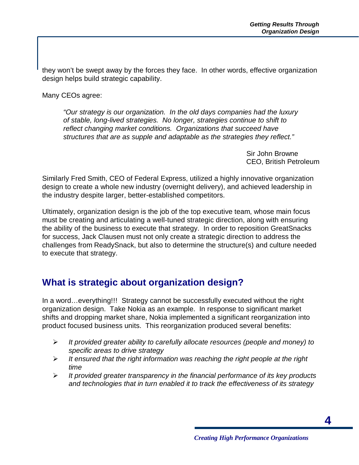they won't be swept away by the forces they face. In other words, effective organization design helps build strategic capability.

Many CEOs agree:

"Our strategy is our organization. In the old days companies had the luxury of stable, long-lived strategies. No longer, strategies continue to shift to reflect changing market conditions. Organizations that succeed have structures that are as supple and adaptable as the strategies they reflect."

> Sir John Browne CEO, British Petroleum

Similarly Fred Smith, CEO of Federal Express, utilized a highly innovative organization design to create a whole new industry (overnight delivery), and achieved leadership in the industry despite larger, better-established competitors.

Ultimately, organization design is the job of the top executive team, whose main focus must be creating and articulating a well-tuned strategic direction, along with ensuring the ability of the business to execute that strategy. In order to reposition GreatSnacks for success, Jack Clausen must not only create a strategic direction to address the challenges from ReadySnack, but also to determine the structure(s) and culture needed to execute that strategy.

### **What is strategic about organization design?**

In a word…everything!!! Strategy cannot be successfully executed without the right organization design. Take Nokia as an example. In response to significant market shifts and dropping market share, Nokia implemented a significant reorganization into product focused business units. This reorganization produced several benefits:

- $\triangleright$  It provided greater ability to carefully allocate resources (people and money) to specific areas to drive strategy
- $\triangleright$  It ensured that the right information was reaching the right people at the right time
- $\triangleright$  It provided greater transparency in the financial performance of its key products and technologies that in turn enabled it to track the effectiveness of its strategy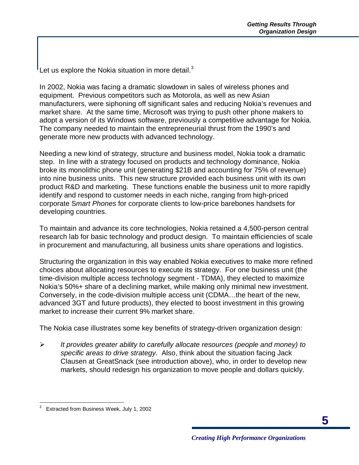Let us explore the Nokia situation in more detail. $3$ 

In 2002, Nokia was facing a dramatic slowdown in sales of wireless phones and equipment. Previous competitors such as Motorola, as well as new Asian manufacturers, were siphoning off significant sales and reducing Nokia's revenues and market share. At the same time, Microsoft was trying to push other phone makers to adopt a version of its Windows software, previously a competitive advantage for Nokia. The company needed to maintain the entrepreneurial thrust from the 1990's and generate more new products with advanced technology.

Needing a new kind of strategy, structure and business model, Nokia took a dramatic step. In line with a strategy focused on products and technology dominance, Nokia broke its monolithic phone unit (generating \$21B and accounting for 75% of revenue) into nine business units. This new structure provided each business unit with its own product R&D and marketing. These functions enable the business unit to more rapidly identify and respond to customer needs in each niche, ranging from high-priced corporate Smart Phones for corporate clients to low-price barebones handsets for developing countries.

To maintain and advance its core technologies, Nokia retained a 4,500-person central research lab for basic technology and product design. To maintain efficiencies of scale in procurement and manufacturing, all business units share operations and logistics.

Structuring the organization in this way enabled Nokia executives to make more refined choices about allocating resources to execute its strategy. For one business unit (the time-division multiple access technology segment - TDMA), they elected to maximize Nokia's 50%+ share of a declining market, while making only minimal new investment. Conversely, in the code-division multiple access unit (CDMA…the heart of the new, advanced 3GT and future products), they elected to boost investment in this growing market to increase their current 9% market share.

The Nokia case illustrates some key benefits of strategy-driven organization design:

 $\triangleright$  It provides greater ability to carefully allocate resources (people and money) to specific areas to drive strategy. Also, think about the situation facing Jack Clausen at GreatSnack (see introduction above), who, in order to develop new markets, should redesign his organization to move people and dollars quickly.

 $\overline{a}$ 3 Extracted from Business Week, July 1, 2002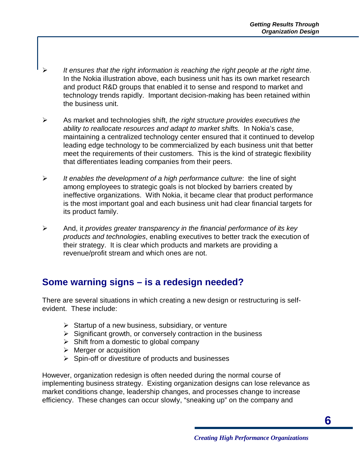- It ensures that the right information is reaching the right people at the right time. In the Nokia illustration above, each business unit has its own market research and product R&D groups that enabled it to sense and respond to market and technology trends rapidly. Important decision-making has been retained within the business unit.
- $\triangleright$  As market and technologies shift, the right structure provides executives the ability to reallocate resources and adapt to market shifts. In Nokia's case, maintaining a centralized technology center ensured that it continued to develop leading edge technology to be commercialized by each business unit that better meet the requirements of their customers. This is the kind of strategic flexibility that differentiates leading companies from their peers.
- $\triangleright$  It enables the development of a high performance culture: the line of sight among employees to strategic goals is not blocked by barriers created by ineffective organizations. With Nokia, it became clear that product performance is the most important goal and each business unit had clear financial targets for its product family.
- $\triangleright$  And, it provides greater transparency in the financial performance of its key products and technologies, enabling executives to better track the execution of their strategy. It is clear which products and markets are providing a revenue/profit stream and which ones are not.

### **Some warning signs – is a redesign needed?**

There are several situations in which creating a new design or restructuring is selfevident. These include:

- $\triangleright$  Startup of a new business, subsidiary, or venture
- $\triangleright$  Significant growth, or conversely contraction in the business
- $\triangleright$  Shift from a domestic to global company
- $\triangleright$  Merger or acquisition
- $\triangleright$  Spin-off or divestiture of products and businesses

However, organization redesign is often needed during the normal course of implementing business strategy. Existing organization designs can lose relevance as market conditions change, leadership changes, and processes change to increase efficiency. These changes can occur slowly, "sneaking up" on the company and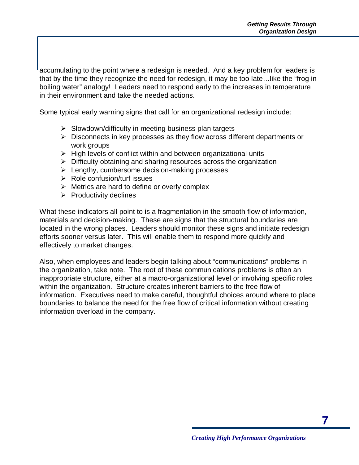accumulating to the point where a redesign is needed. And a key problem for leaders is that by the time they recognize the need for redesign, it may be too late…like the "frog in boiling water" analogy! Leaders need to respond early to the increases in temperature in their environment and take the needed actions.

Some typical early warning signs that call for an organizational redesign include:

- $\triangleright$  Slowdown/difficulty in meeting business plan targets
- $\triangleright$  Disconnects in key processes as they flow across different departments or work groups
- $\triangleright$  High levels of conflict within and between organizational units
- $\triangleright$  Difficulty obtaining and sharing resources across the organization
- $\triangleright$  Lengthy, cumbersome decision-making processes
- $\triangleright$  Role confusion/turf issues
- $\triangleright$  Metrics are hard to define or overly complex
- $\triangleright$  Productivity declines

What these indicators all point to is a fragmentation in the smooth flow of information, materials and decision-making. These are signs that the structural boundaries are located in the wrong places. Leaders should monitor these signs and initiate redesign efforts sooner versus later. This will enable them to respond more quickly and effectively to market changes.

Also, when employees and leaders begin talking about "communications" problems in the organization, take note. The root of these communications problems is often an inappropriate structure, either at a macro-organizational level or involving specific roles within the organization. Structure creates inherent barriers to the free flow of information. Executives need to make careful, thoughtful choices around where to place boundaries to balance the need for the free flow of critical information without creating information overload in the company.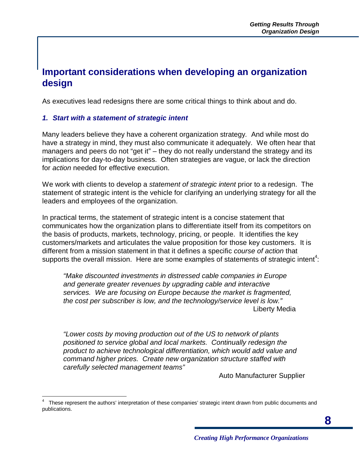### **Important considerations when developing an organization design**

As executives lead redesigns there are some critical things to think about and do.

#### **1. Start with a statement of strategic intent**

Many leaders believe they have a coherent organization strategy. And while most do have a strategy in mind, they must also communicate it adequately. We often hear that managers and peers do not "get it" – they do not really understand the strategy and its implications for day-to-day business. Often strategies are vague, or lack the direction for action needed for effective execution.

We work with clients to develop a statement of strategic intent prior to a redesign. The statement of strategic intent is the vehicle for clarifying an underlying strategy for all the leaders and employees of the organization.

In practical terms, the statement of strategic intent is a concise statement that communicates how the organization plans to differentiate itself from its competitors on the basis of products, markets, technology, pricing, or people. It identifies the key customers/markets and articulates the value proposition for those key customers. It is different from a mission statement in that it defines a specific course of action that supports the overall mission. Here are some examples of statements of strategic intent<sup>4</sup>:

"Make discounted investments in distressed cable companies in Europe and generate greater revenues by upgrading cable and interactive services. We are focusing on Europe because the market is fragmented, the cost per subscriber is low, and the technology/service level is low." Liberty Media

"Lower costs by moving production out of the US to network of plants positioned to service global and local markets. Continually redesign the product to achieve technological differentiation, which would add value and command higher prices. Create new organization structure staffed with carefully selected management teams"

Auto Manufacturer Supplier

 $\overline{\phantom{a}}$ 4 These represent the authors' interpretation of these companies' strategic intent drawn from public documents and publications.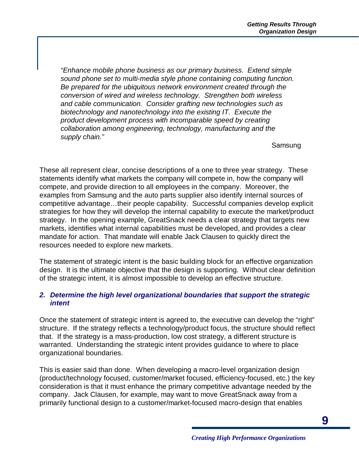"Enhance mobile phone business as our primary business. Extend simple sound phone set to multi-media style phone containing computing function. Be prepared for the ubiquitous network environment created through the conversion of wired and wireless technology. Strengthen both wireless and cable communication. Consider grafting new technologies such as biotechnology and nanotechnology into the existing IT. Execute the product development process with incomparable speed by creating collaboration among engineering, technology, manufacturing and the supply chain."

Samsung

These all represent clear, concise descriptions of a one to three year strategy. These statements identify what markets the company will compete in, how the company will compete, and provide direction to all employees in the company. Moreover, the examples from Samsung and the auto parts supplier also identify internal sources of competitive advantage…their people capability. Successful companies develop explicit strategies for how they will develop the internal capability to execute the market/product strategy. In the opening example, GreatSnack needs a clear strategy that targets new markets, identifies what internal capabilities must be developed, and provides a clear mandate for action. That mandate will enable Jack Clausen to quickly direct the resources needed to explore new markets.

The statement of strategic intent is the basic building block for an effective organization design. It is the ultimate objective that the design is supporting. Without clear definition of the strategic intent, it is almost impossible to develop an effective structure.

#### **2. Determine the high level organizational boundaries that support the strategic intent**

Once the statement of strategic intent is agreed to, the executive can develop the "right" structure. If the strategy reflects a technology/product focus, the structure should reflect that. If the strategy is a mass-production, low cost strategy, a different structure is warranted. Understanding the strategic intent provides guidance to where to place organizational boundaries.

This is easier said than done. When developing a macro-level organization design (product/technology focused, customer/market focused, efficiency-focused, etc.) the key consideration is that it must enhance the primary competitive advantage needed by the company. Jack Clausen, for example, may want to move GreatSnack away from a primarily functional design to a customer/market-focused macro-design that enables

**9**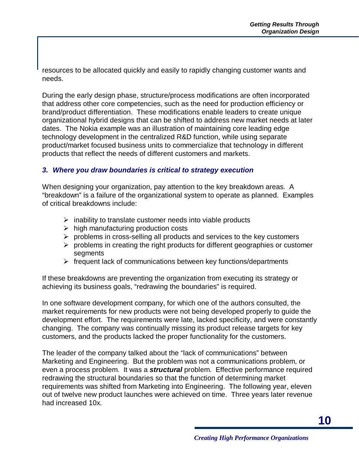resources to be allocated quickly and easily to rapidly changing customer wants and needs.

During the early design phase, structure/process modifications are often incorporated that address other core competencies, such as the need for production efficiency or brand/product differentiation. These modifications enable leaders to create unique organizational hybrid designs that can be shifted to address new market needs at later dates. The Nokia example was an illustration of maintaining core leading edge technology development in the centralized R&D function, while using separate product/market focused business units to commercialize that technology in different products that reflect the needs of different customers and markets.

#### **3. Where you draw boundaries is critical to strategy execution**

When designing your organization, pay attention to the key breakdown areas. A "breakdown" is a failure of the organizational system to operate as planned. Examples of critical breakdowns include:

- $\triangleright$  inability to translate customer needs into viable products
- $\triangleright$  high manufacturing production costs
- $\triangleright$  problems in cross-selling all products and services to the key customers
- $\triangleright$  problems in creating the right products for different geographies or customer **segments**
- $\triangleright$  frequent lack of communications between key functions/departments

If these breakdowns are preventing the organization from executing its strategy or achieving its business goals, "redrawing the boundaries" is required.

In one software development company, for which one of the authors consulted, the market requirements for new products were not being developed properly to guide the development effort. The requirements were late, lacked specificity, and were constantly changing. The company was continually missing its product release targets for key customers, and the products lacked the proper functionality for the customers.

The leader of the company talked about the "lack of communications" between Marketing and Engineering. But the problem was not a communications problem, or even a process problem. It was a **structural** problem. Effective performance required redrawing the structural boundaries so that the function of determining market requirements was shifted from Marketing into Engineering. The following year, eleven out of twelve new product launches were achieved on time. Three years later revenue had increased 10x.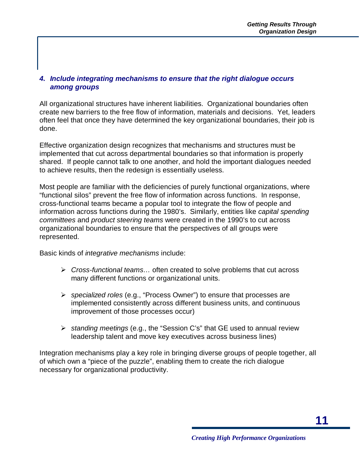#### **4. Include integrating mechanisms to ensure that the right dialogue occurs among groups**

All organizational structures have inherent liabilities. Organizational boundaries often create new barriers to the free flow of information, materials and decisions. Yet, leaders often feel that once they have determined the key organizational boundaries, their job is done.

Effective organization design recognizes that mechanisms and structures must be implemented that cut across departmental boundaries so that information is properly shared. If people cannot talk to one another, and hold the important dialogues needed to achieve results, then the redesign is essentially useless.

Most people are familiar with the deficiencies of purely functional organizations, where "functional silos" prevent the free flow of information across functions. In response, cross-functional teams became a popular tool to integrate the flow of people and information across functions during the 1980's. Similarly, entities like capital spending committees and product steering teams were created in the 1990's to cut across organizational boundaries to ensure that the perspectives of all groups were represented.

Basic kinds of integrative mechanisms include:

- $\triangleright$  Cross-functional teams... often created to solve problems that cut across many different functions or organizational units.
- $\triangleright$  specialized roles (e.g., "Process Owner") to ensure that processes are implemented consistently across different business units, and continuous improvement of those processes occur)
- $\triangleright$  standing meetings (e.g., the "Session C's" that GE used to annual review leadership talent and move key executives across business lines)

Integration mechanisms play a key role in bringing diverse groups of people together, all of which own a "piece of the puzzle", enabling them to create the rich dialogue necessary for organizational productivity.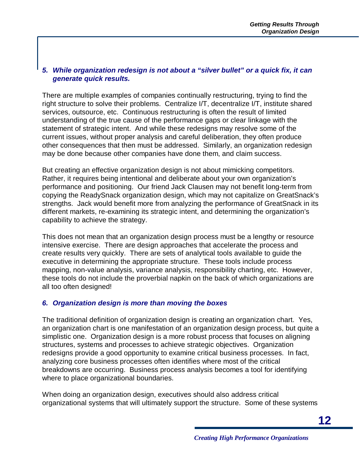#### **5. While organization redesign is not about a "silver bullet" or a quick fix, it can generate quick results.**

There are multiple examples of companies continually restructuring, trying to find the right structure to solve their problems. Centralize I/T, decentralize I/T, institute shared services, outsource, etc. Continuous restructuring is often the result of limited understanding of the true cause of the performance gaps or clear linkage with the statement of strategic intent. And while these redesigns may resolve some of the current issues, without proper analysis and careful deliberation, they often produce other consequences that then must be addressed. Similarly, an organization redesign may be done because other companies have done them, and claim success.

But creating an effective organization design is not about mimicking competitors. Rather, it requires being intentional and deliberate about your own organization's performance and positioning. Our friend Jack Clausen may not benefit long-term from copying the ReadySnack organization design, which may not capitalize on GreatSnack's strengths. Jack would benefit more from analyzing the performance of GreatSnack in its different markets, re-examining its strategic intent, and determining the organization's capability to achieve the strategy.

This does not mean that an organization design process must be a lengthy or resource intensive exercise. There are design approaches that accelerate the process and create results very quickly. There are sets of analytical tools available to guide the executive in determining the appropriate structure. These tools include process mapping, non-value analysis, variance analysis, responsibility charting, etc. However, these tools do not include the proverbial napkin on the back of which organizations are all too often designed!

#### **6. Organization design is more than moving the boxes**

The traditional definition of organization design is creating an organization chart. Yes, an organization chart is one manifestation of an organization design process, but quite a simplistic one. Organization design is a more robust process that focuses on aligning structures, systems and processes to achieve strategic objectives. Organization redesigns provide a good opportunity to examine critical business processes. In fact, analyzing core business processes often identifies where most of the critical breakdowns are occurring. Business process analysis becomes a tool for identifying where to place organizational boundaries.

When doing an organization design, executives should also address critical organizational systems that will ultimately support the structure. Some of these systems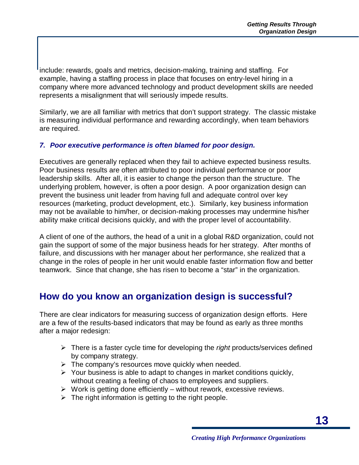include: rewards, goals and metrics, decision-making, training and staffing. For example, having a staffing process in place that focuses on entry-level hiring in a company where more advanced technology and product development skills are needed represents a misalignment that will seriously impede results.

Similarly, we are all familiar with metrics that don't support strategy. The classic mistake is measuring individual performance and rewarding accordingly, when team behaviors are required.

#### **7. Poor executive performance is often blamed for poor design.**

Executives are generally replaced when they fail to achieve expected business results. Poor business results are often attributed to poor individual performance or poor leadership skills. After all, it is easier to change the person than the structure. The underlying problem, however, is often a poor design. A poor organization design can prevent the business unit leader from having full and adequate control over key resources (marketing, product development, etc.). Similarly, key business information may not be available to him/her, or decision-making processes may undermine his/her ability make critical decisions quickly, and with the proper level of accountability.

A client of one of the authors, the head of a unit in a global R&D organization, could not gain the support of some of the major business heads for her strategy. After months of failure, and discussions with her manager about her performance, she realized that a change in the roles of people in her unit would enable faster information flow and better teamwork. Since that change, she has risen to become a "star" in the organization.

### **How do you know an organization design is successful?**

There are clear indicators for measuring success of organization design efforts. Here are a few of the results-based indicators that may be found as early as three months after a major redesign:

- $\triangleright$  There is a faster cycle time for developing the *right* products/services defined by company strategy.
- $\triangleright$  The company's resources move quickly when needed.
- $\triangleright$  Your business is able to adapt to changes in market conditions quickly, without creating a feeling of chaos to employees and suppliers.
- $\triangleright$  Work is getting done efficiently without rework, excessive reviews.
- $\triangleright$  The right information is getting to the right people.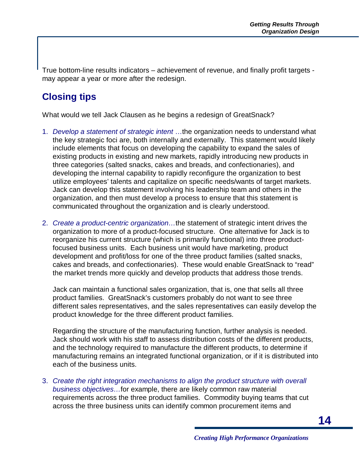True bottom-line results indicators – achievement of revenue, and finally profit targets may appear a year or more after the redesign.

## **Closing tips**

What would we tell Jack Clausen as he begins a redesign of GreatSnack?

- 1. Develop a statement of strategic intent ...the organization needs to understand what the key strategic foci are, both internally and externally. This statement would likely include elements that focus on developing the capability to expand the sales of existing products in existing and new markets, rapidly introducing new products in three categories (salted snacks, cakes and breads, and confectionaries), and developing the internal capability to rapidly reconfigure the organization to best utilize employees' talents and capitalize on specific needs/wants of target markets. Jack can develop this statement involving his leadership team and others in the organization, and then must develop a process to ensure that this statement is communicated throughout the organization and is clearly understood.
- 2. Create a product-centric organization...the statement of strategic intent drives the organization to more of a product-focused structure. One alternative for Jack is to reorganize his current structure (which is primarily functional) into three productfocused business units. Each business unit would have marketing, product development and profit/loss for one of the three product families (salted snacks, cakes and breads, and confectionaries). These would enable GreatSnack to "read" the market trends more quickly and develop products that address those trends.

Jack can maintain a functional sales organization, that is, one that sells all three product families. GreatSnack's customers probably do not want to see three different sales representatives, and the sales representatives can easily develop the product knowledge for the three different product families.

Regarding the structure of the manufacturing function, further analysis is needed. Jack should work with his staff to assess distribution costs of the different products, and the technology required to manufacture the different products, to determine if manufacturing remains an integrated functional organization, or if it is distributed into each of the business units.

3. Create the right integration mechanisms to align the product structure with overall business objectives…for example, there are likely common raw material requirements across the three product families. Commodity buying teams that cut across the three business units can identify common procurement items and

**14**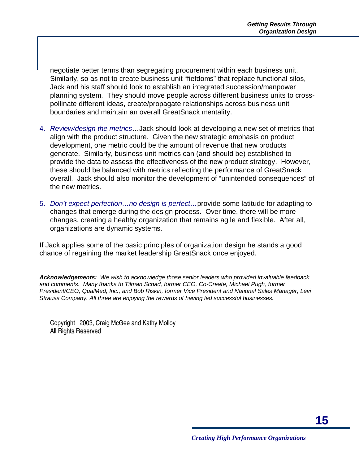negotiate better terms than segregating procurement within each business unit. Similarly, so as not to create business unit "fiefdoms" that replace functional silos, Jack and his staff should look to establish an integrated succession/manpower planning system. They should move people across different business units to crosspollinate different ideas, create/propagate relationships across business unit boundaries and maintain an overall GreatSnack mentality.

- 4. Review/design the metrics... Jack should look at developing a new set of metrics that align with the product structure. Given the new strategic emphasis on product development, one metric could be the amount of revenue that new products generate. Similarly, business unit metrics can (and should be) established to provide the data to assess the effectiveness of the new product strategy. However, these should be balanced with metrics reflecting the performance of GreatSnack overall. Jack should also monitor the development of "unintended consequences" of the new metrics.
- 5. Don't expect perfection...no design is perfect...provide some latitude for adapting to changes that emerge during the design process. Over time, there will be more changes, creating a healthy organization that remains agile and flexible. After all, organizations are dynamic systems.

If Jack applies some of the basic principles of organization design he stands a good chance of regaining the market leadership GreatSnack once enjoyed.

**Acknowledgements:** We wish to acknowledge those senior leaders who provided invaluable feedback and comments. Many thanks to Tilman Schad, former CEO, Co-Create, Michael Pugh, former President/CEO, QualMed, Inc., and Bob Riskin, former Vice President and National Sales Manager, Levi Strauss Company. All three are enjoying the rewards of having led successful businesses.

 Copyright 2003, Craig McGee and Kathy Molloy All Rights Reserved